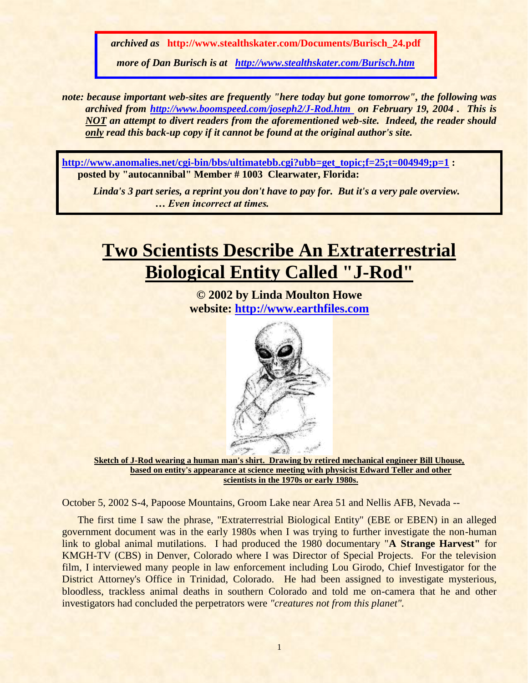*archived as* **http://www.stealthskater.com/Documents/Burisch\_24.pdf**

*more of Dan Burisch is at <http://www.stealthskater.com/Burisch.htm>*

*note: because important web-sites are frequently "here today but gone tomorrow", the following was archived from <http://www.boomspeed.com/joseph2/J-Rod.htm>on February 19, 2004 . This is NOT an attempt to divert readers from the aforementioned web-site. Indeed, the reader should only read this back-up copy if it cannot be found at the original author's site.*

**[http://www.anomalies.net/cgi-bin/bbs/ultimatebb.cgi?ubb=get\\_topic;f=25;t=004949;p=1](http://www.anomalies.net/cgi-bin/bbs/ultimatebb.cgi?ubb=get_topic;f=25;t=004949;p=1) : posted by "autocannibal" Member # 1003 Clearwater, Florida:** 

*Linda's 3 part series, a reprint you don't have to pay for. But it's a very pale overview. … Even incorrect at times.*

# **Two Scientists Describe An Extraterrestrial Biological Entity Called "J-Rod"**

**© 2002 by Linda Moulton Howe website: [http://www.earthfiles.com](http://www.earthfiles.com/)**



**Sketch of J-Rod wearing a human man's shirt. Drawing by retired mechanical engineer Bill Uhouse, based on entity's appearance at science meeting with physicist Edward Teller and other scientists in the 1970s or early 1980s.**

October 5, 2002 S-4, Papoose Mountains, Groom Lake near Area 51 and Nellis AFB, Nevada --

The first time I saw the phrase, "Extraterrestrial Biological Entity" (EBE or EBEN) in an alleged government document was in the early 1980s when I was trying to further investigate the non-human link to global animal mutilations. I had produced the 1980 documentary "**A Strange Harvest"** for KMGH-TV (CBS) in Denver, Colorado where I was Director of Special Projects. For the television film, I interviewed many people in law enforcement including Lou Girodo, Chief Investigator for the District Attorney's Office in Trinidad, Colorado. He had been assigned to investigate mysterious, bloodless, trackless animal deaths in southern Colorado and told me on-camera that he and other investigators had concluded the perpetrators were *"creatures not from this planet".*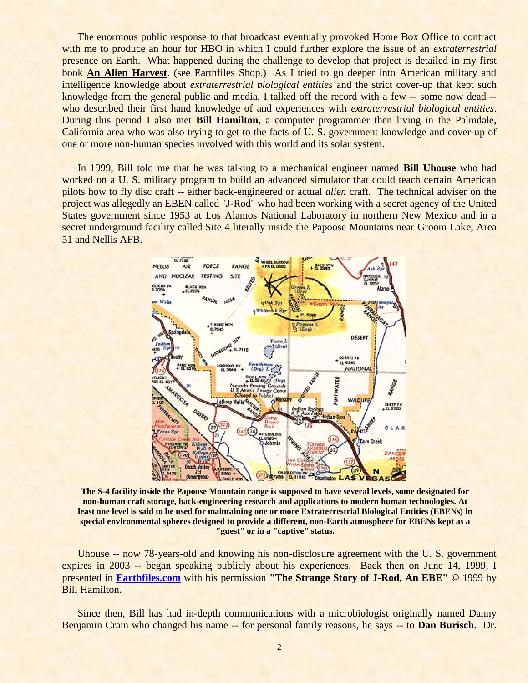The enormous public response to that broadcast eventually provoked Home Box Office to contract with me to produce an hour for HBO in which I could further explore the issue of an *extraterrestrial* presence on Earth. What happened during the challenge to develop that project is detailed in my first book **An Alien Harvest**. (see Earthfiles Shop.) As I tried to go deeper into American military and intelligence knowledge about *extraterrestrial biological entities* and the strict cover-up that kept such knowledge from the general public and media, I talked off the record with a few -- some now dead - who described their first hand knowledge of and experiences with *extraterrestrial biological entities*. During this period I also met **Bill Hamilton**, a computer programmer then living in the Palmdale, California area who was also trying to get to the facts of U. S. government knowledge and cover-up of one or more non-human species involved with this world and its solar system.

In 1999, Bill told me that he was talking to a mechanical engineer named **Bill Uhouse** who had worked on a U. S. military program to build an advanced simulator that could teach certain American pilots how to fly disc craft -- either back-engineered or actual *alien* craft. The technical adviser on the project was allegedly an EBEN called "J-Rod" who had been working with a secret agency of the United States government since 1953 at Los Alamos National Laboratory in northern New Mexico and in a secret underground facility called Site 4 literally inside the Papoose Mountains near Groom Lake, Area 51 and Nellis AFB.



**The S-4 facility inside the Papoose Mountain range is supposed to have several levels, some designated for non-human craft storage, back-engineering research and applications to modern human technologies. At least one level is said to be used for maintaining one or more Extraterrestrial Biological Entities (EBENs) in special environmental spheres designed to provide a different, non-Earth atmosphere for EBENs kept as a "guest" or in a "captive" status.**

Uhouse -- now 78-years-old and knowing his non-disclosure agreement with the U. S. government expires in 2003 -- began speaking publicly about his experiences. Back then on June 14, 1999, I presented in **[Earthfiles.com](http://earthfiles.com/)** with his permission **"The Strange Story of J-Rod, An EBE"** © 1999 by Bill Hamilton.

Since then, Bill has had in-depth communications with a microbiologist originally named Danny Benjamin Crain who changed his name -- for personal family reasons, he says -- to **Dan Burisch**. Dr.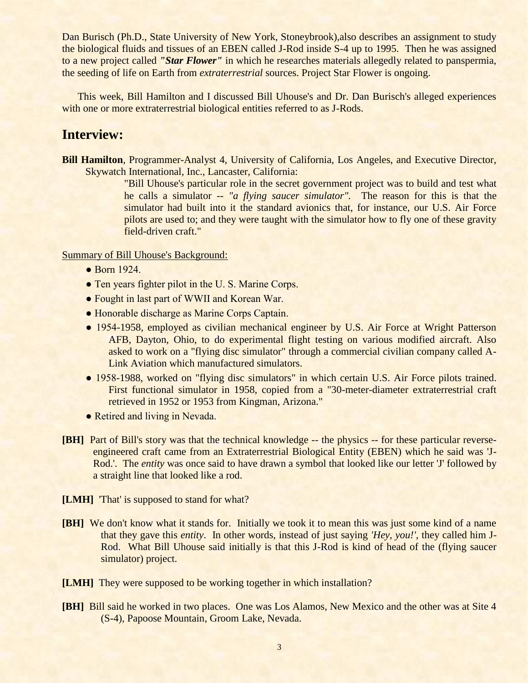Dan Burisch (Ph.D., State University of New York, Stoneybrook),also describes an assignment to study the biological fluids and tissues of an EBEN called J-Rod inside S-4 up to 1995. Then he was assigned to a new project called *"Star Flower"* in which he researches materials allegedly related to panspermia, the seeding of life on Earth from *extraterrestrial* sources. Project Star Flower is ongoing.

This week, Bill Hamilton and I discussed Bill Uhouse's and Dr. Dan Burisch's alleged experiences with one or more extraterrestrial biological entities referred to as J-Rods.

### **Interview:**

**Bill Hamilton**, Programmer-Analyst 4, University of California, Los Angeles, and Executive Director, Skywatch International, Inc., Lancaster, California:

> "Bill Uhouse's particular role in the secret government project was to build and test what he calls a simulator -- *"a flying saucer simulator".* The reason for this is that the simulator had built into it the standard avionics that, for instance, our U.S. Air Force pilots are used to; and they were taught with the simulator how to fly one of these gravity field-driven craft."

#### Summary of Bill Uhouse's Background:

- Born 1924.
- Ten years fighter pilot in the U. S. Marine Corps.
- Fought in last part of WWII and Korean War.
- Honorable discharge as Marine Corps Captain.
- 1954-1958, employed as civilian mechanical engineer by U.S. Air Force at Wright Patterson AFB, Dayton, Ohio, to do experimental flight testing on various modified aircraft. Also asked to work on a "flying disc simulator" through a commercial civilian company called A-Link Aviation which manufactured simulators.
- 1958-1988, worked on "flying disc simulators" in which certain U.S. Air Force pilots trained. First functional simulator in 1958, copied from a "30-meter-diameter extraterrestrial craft retrieved in 1952 or 1953 from Kingman, Arizona."
- Retired and living in Nevada.
- **[BH]** Part of Bill's story was that the technical knowledge -- the physics -- for these particular reverseengineered craft came from an Extraterrestrial Biological Entity (EBEN) which he said was 'J-Rod.'. The *entity* was once said to have drawn a symbol that looked like our letter 'J' followed by a straight line that looked like a rod.
- **[LMH]** 'That' is supposed to stand for what?
- **[BH]** We don't know what it stands for. Initially we took it to mean this was just some kind of a name that they gave this *entity*. In other words, instead of just saying *'Hey, you!',* they called him J-Rod. What Bill Uhouse said initially is that this J-Rod is kind of head of the (flying saucer simulator) project.
- **[LMH]** They were supposed to be working together in which installation?
- **[BH]** Bill said he worked in two places. One was Los Alamos, New Mexico and the other was at Site 4 (S-4), Papoose Mountain, Groom Lake, Nevada.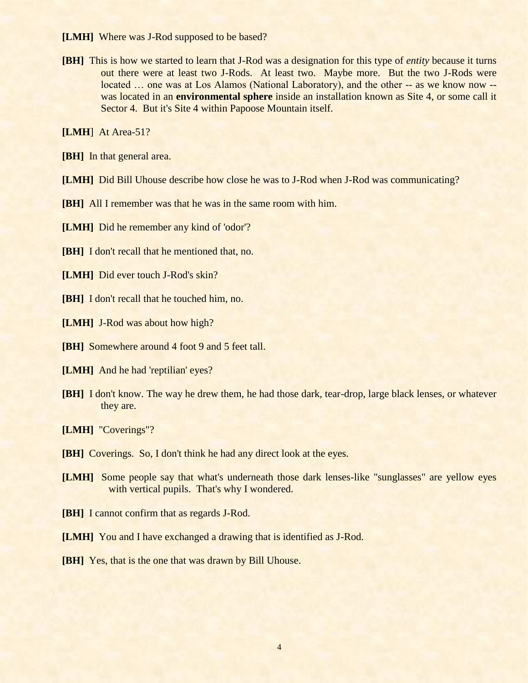**[LMH]** Where was **J-Rod** supposed to be based?

**[BH]** This is how we started to learn that J-Rod was a designation for this type of *entity* because it turns out there were at least two J-Rods. At least two. Maybe more. But the two J-Rods were located ... one was at Los Alamos (National Laboratory), and the other -- as we know now -was located in an **environmental sphere** inside an installation known as Site 4, or some call it Sector 4. But it's Site 4 within Papoose Mountain itself.

**[LMH**] At Area-51?

**[BH]** In that general area.

**[LMH]** Did Bill Uhouse describe how close he was to J-Rod when J-Rod was communicating?

**[BH]** All I remember was that he was in the same room with him.

**[LMH]** Did he remember any kind of 'odor'?

**[BH]** I don't recall that he mentioned that, no.

**[LMH]** Did ever touch J-Rod's skin?

**[BH]** I don't recall that he touched him, no.

**[LMH]** J-Rod was about how high?

**[BH]** Somewhere around 4 foot 9 and 5 feet tall.

- **[LMH]** And he had 'reptilian' eyes?
- **[BH]** I don't know. The way he drew them, he had those dark, tear-drop, large black lenses, or whatever they are.

**[LMH]** "Coverings"?

- **[BH]** Coverings. So, I don't think he had any direct look at the eyes.
- **[LMH]** Some people say that what's underneath those dark lenses-like "sunglasses" are yellow eyes with vertical pupils. That's why I wondered.

**[BH]** I cannot confirm that as regards J-Rod.

**[LMH]** You and I have exchanged a drawing that is identified as J-Rod.

**[BH]** Yes, that is the one that was drawn by Bill Uhouse.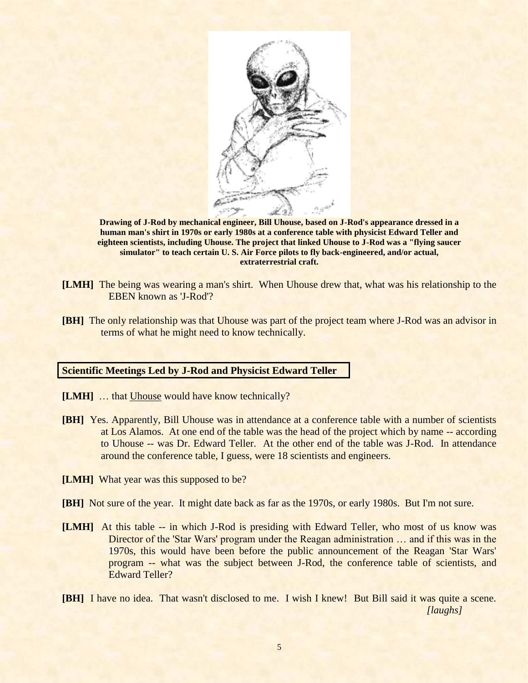

**Drawing of J-Rod by mechanical engineer, Bill Uhouse, based on J-Rod's appearance dressed in a human man's shirt in 1970s or early 1980s at a conference table with physicist Edward Teller and eighteen scientists, including Uhouse. The project that linked Uhouse to J-Rod was a "flying saucer simulator" to teach certain U. S. Air Force pilots to fly back-engineered, and/or actual, extraterrestrial craft.**

- **[LMH]** The being was wearing a man's shirt. When Uhouse drew that, what was his relationship to the EBEN known as 'J-Rod'?
- **[BH]** The only relationship was that Uhouse was part of the project team where J-Rod was an advisor in terms of what he might need to know technically.

#### **Scientific Meetings Led by J-Rod and Physicist Edward Teller**

- **[LMH]** ... that Uhouse would have know technically?
- **[BH]** Yes. Apparently, Bill Uhouse was in attendance at a conference table with a number of scientists at Los Alamos. At one end of the table was the head of the project which by name -- according to Uhouse -- was Dr. Edward Teller. At the other end of the table was J-Rod. In attendance around the conference table, I guess, were 18 scientists and engineers.
- **[LMH]** What year was this supposed to be?
- **[BH]** Not sure of the year. It might date back as far as the 1970s, or early 1980s. But I'm not sure.
- **[LMH]** At this table -- in which J-Rod is presiding with Edward Teller, who most of us know was Director of the 'Star Wars' program under the Reagan administration ... and if this was in the 1970s, this would have been before the public announcement of the Reagan 'Star Wars' program -- what was the subject between J-Rod, the conference table of scientists, and Edward Teller?
- **[BH]** I have no idea. That wasn't disclosed to me. I wish I knew! But Bill said it was quite a scene. *[laughs]*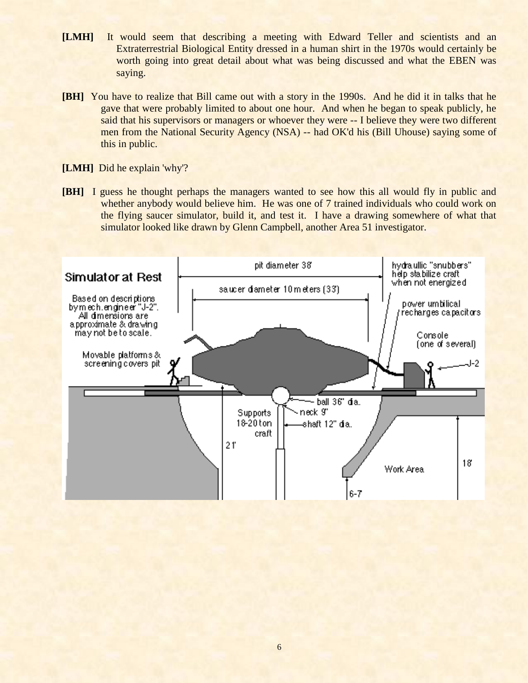- **[LMH]** It would seem that describing a meeting with Edward Teller and scientists and an Extraterrestrial Biological Entity dressed in a human shirt in the 1970s would certainly be worth going into great detail about what was being discussed and what the EBEN was saying.
- **[BH]** You have to realize that Bill came out with a story in the 1990s. And he did it in talks that he gave that were probably limited to about one hour. And when he began to speak publicly, he said that his supervisors or managers or whoever they were -- I believe they were two different men from the National Security Agency (NSA) -- had OK'd his (Bill Uhouse) saying some of this in public.

**[BH]** I guess he thought perhaps the managers wanted to see how this all would fly in public and whether anybody would believe him. He was one of 7 trained individuals who could work on the flying saucer simulator, build it, and test it. I have a drawing somewhere of what that simulator looked like drawn by Glenn Campbell, another Area 51 investigator.



**<sup>[</sup>LMH]** Did he explain 'why'?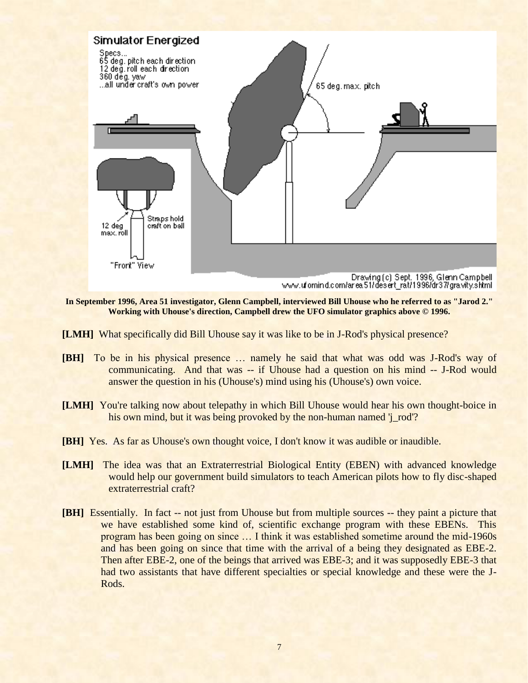

**In September 1996, Area 51 investigator, Glenn Campbell, interviewed Bill Uhouse who he referred to as "Jarod 2." Working with Uhouse's direction, Campbell drew the UFO simulator graphics above © 1996.**

- **[LMH]** What specifically did Bill Uhouse say it was like to be in J-Rod's physical presence?
- **[BH]** To be in his physical presence … namely he said that what was odd was J-Rod's way of communicating. And that was -- if Uhouse had a question on his mind -- J-Rod would answer the question in his (Uhouse's) mind using his (Uhouse's) own voice.
- **[LMH]** You're talking now about telepathy in which Bill Uhouse would hear his own thought-boice in his own mind, but it was being provoked by the non-human named 'j\_rod'?
- **[BH]** Yes. As far as Uhouse's own thought voice, I don't know it was audible or inaudible.
- **[LMH]** The idea was that an Extraterrestrial Biological Entity (EBEN) with advanced knowledge would help our government build simulators to teach American pilots how to fly disc-shaped extraterrestrial craft?
- **[BH]** Essentially. In fact -- not just from Uhouse but from multiple sources -- they paint a picture that we have established some kind of, scientific exchange program with these EBENs. This program has been going on since … I think it was established sometime around the mid-1960s and has been going on since that time with the arrival of a being they designated as EBE-2. Then after EBE-2, one of the beings that arrived was EBE-3; and it was supposedly EBE-3 that had two assistants that have different specialties or special knowledge and these were the J-Rods.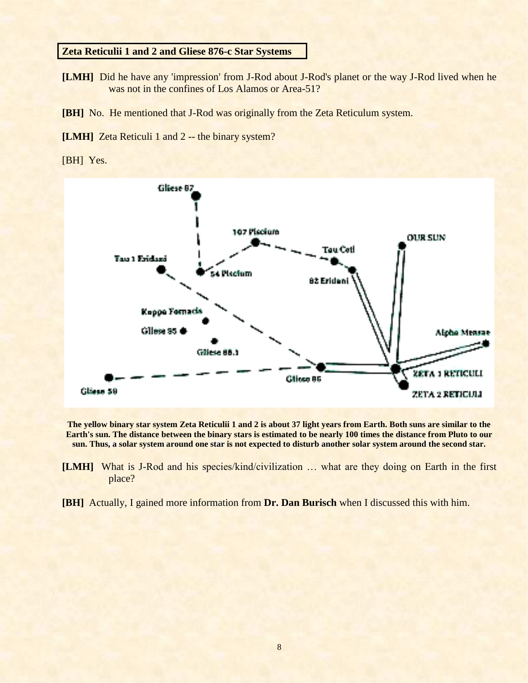#### **Zeta Reticulii 1 and 2 and Gliese 876-c Star Systems**

- **[LMH]** Did he have any 'impression' from J-Rod about J-Rod's planet or the way J-Rod lived when he was not in the confines of Los Alamos or Area-51?
- **[BH]** No. He mentioned that J-Rod was originally from the Zeta Reticulum system.
- **[LMH]** Zeta Reticuli 1 and 2 -- the binary system?

[BH] Yes.



**The yellow binary star system Zeta Reticulii 1 and 2 is about 37 light years from Earth. Both suns are similar to the Earth's sun. The distance between the binary stars is estimated to be nearly 100 times the distance from Pluto to our sun. Thus, a solar system around one star is not expected to disturb another solar system around the second star.**

- **[LMH]** What is J-Rod and his species/kind/civilization … what are they doing on Earth in the first place?
- **[BH]** Actually, I gained more information from **Dr. Dan Burisch** when I discussed this with him.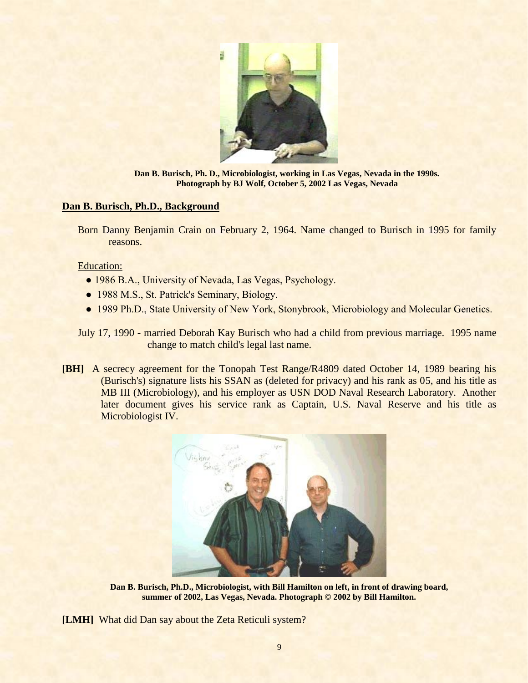

**Dan B. Burisch, Ph. D., Microbiologist, working in Las Vegas, Nevada in the 1990s. Photograph by BJ Wolf, October 5, 2002 Las Vegas, Nevada**

#### **Dan B. Burisch, Ph.D., Background**

Born Danny Benjamin Crain on February 2, 1964. Name changed to Burisch in 1995 for family reasons.

#### Education:

- 1986 B.A., University of Nevada, Las Vegas, Psychology.
- 1988 M.S., St. Patrick's Seminary, Biology.
- 1989 Ph.D., State University of New York, Stonybrook, Microbiology and Molecular Genetics.
- July 17, 1990 married Deborah Kay Burisch who had a child from previous marriage. 1995 name change to match child's legal last name.
- **[BH]** A secrecy agreement for the Tonopah Test Range/R4809 dated October 14, 1989 bearing his (Burisch's) signature lists his SSAN as (deleted for privacy) and his rank as 05, and his title as MB III (Microbiology), and his employer as USN DOD Naval Research Laboratory. Another later document gives his service rank as Captain, U.S. Naval Reserve and his title as Microbiologist IV.



**Dan B. Burisch, Ph.D., Microbiologist, with Bill Hamilton on left, in front of drawing board, summer of 2002, Las Vegas, Nevada. Photograph © 2002 by Bill Hamilton.**

**[LMH]** What did Dan say about the Zeta Reticuli system?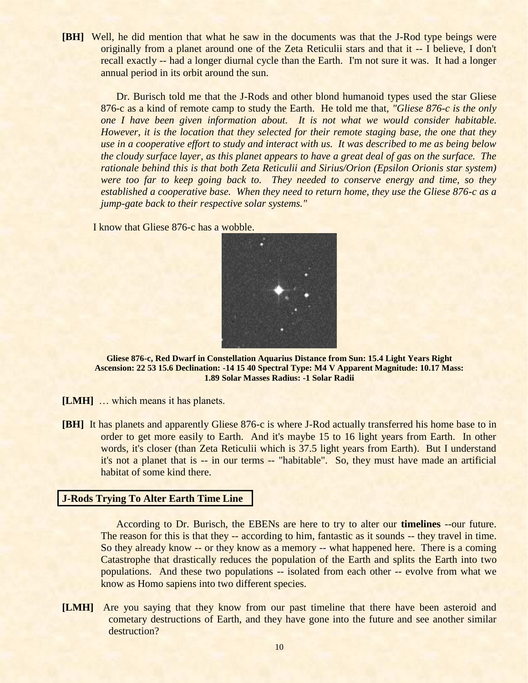**[BH]** Well, he did mention that what he saw in the documents was that the J-Rod type beings were originally from a planet around one of the Zeta Reticulii stars and that it -- I believe, I don't recall exactly -- had a longer diurnal cycle than the Earth. I'm not sure it was. It had a longer annual period in its orbit around the sun.

Dr. Burisch told me that the J-Rods and other blond humanoid types used the star Gliese 876-c as a kind of remote camp to study the Earth. He told me that, *"Gliese 876-c is the only one I have been given information about. It is not what we would consider habitable. However, it is the location that they selected for their remote staging base, the one that they use in a cooperative effort to study and interact with us. It was described to me as being below the cloudy surface layer, as this planet appears to have a great deal of gas on the surface. The rationale behind this is that both Zeta Reticulii and Sirius/Orion (Epsilon Orionis star system) were too far to keep going back to. They needed to conserve energy and time, so they established a cooperative base. When they need to return home, they use the Gliese 876-c as a jump-gate back to their respective solar systems."*

I know that Gliese 876-c has a wobble.



**Gliese 876-c, Red Dwarf in Constellation Aquarius Distance from Sun: 15.4 Light Years Right Ascension: 22 53 15.6 Declination: -14 15 40 Spectral Type: M4 V Apparent Magnitude: 10.17 Mass: 1.89 Solar Masses Radius: -1 Solar Radii**

- **[LMH]** … which means it has planets.
- **[BH]** It has planets and apparently Gliese 876-c is where J-Rod actually transferred his home base to in order to get more easily to Earth. And it's maybe 15 to 16 light years from Earth. In other words, it's closer (than Zeta Reticulii which is 37.5 light years from Earth). But I understand it's not a planet that is -- in our terms -- "habitable". So, they must have made an artificial habitat of some kind there.

#### **J-Rods Trying To Alter Earth Time Line**

According to Dr. Burisch, the EBENs are here to try to alter our **timelines** --our future. The reason for this is that they -- according to him, fantastic as it sounds -- they travel in time. So they already know -- or they know as a memory -- what happened here. There is a coming Catastrophe that drastically reduces the population of the Earth and splits the Earth into two populations. And these two populations -- isolated from each other -- evolve from what we know as Homo sapiens into two different species.

**[LMH]** Are you saying that they know from our past timeline that there have been asteroid and cometary destructions of Earth, and they have gone into the future and see another similar destruction?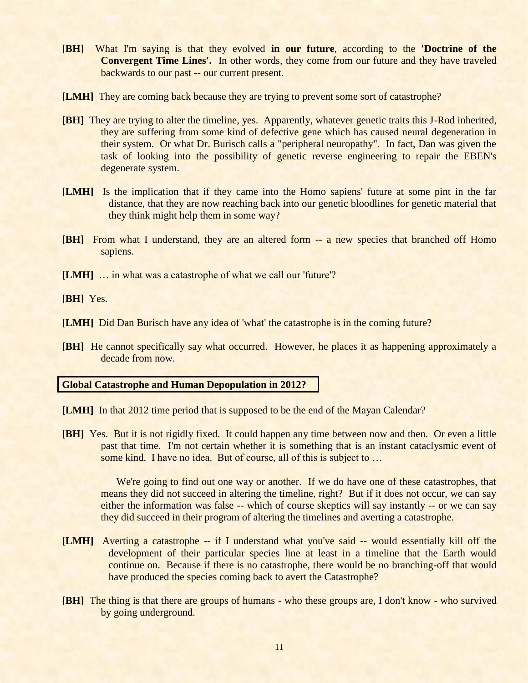- **[BH]** What I'm saying is that they evolved **in our future**, according to the **'Doctrine of the Convergent Time Lines'.** In other words, they come from our future and they have traveled backwards to our past -- our current present.
- **[LMH]** They are coming back because they are trying to prevent some sort of catastrophe?
- **[BH]** They are trying to alter the timeline, yes. Apparently, whatever genetic traits this J-Rod inherited, they are suffering from some kind of defective gene which has caused neural degeneration in their system. Or what Dr. Burisch calls a "peripheral neuropathy". In fact, Dan was given the task of looking into the possibility of genetic reverse engineering to repair the EBEN's degenerate system.
- **[LMH]** Is the implication that if they came into the Homo sapiens' future at some pint in the far distance, that they are now reaching back into our genetic bloodlines for genetic material that they think might help them in some way?
- **[BH]** From what I understand, they are an altered form -- a new species that branched off Homo sapiens.
- **[LMH]** … in what was a catastrophe of what we call our 'future'?

**[BH]** Yes.

- **[LMH]** Did Dan Burisch have any idea of 'what' the catastrophe is in the coming future?
- **[BH]** He cannot specifically say what occurred. However, he places it as happening approximately a decade from now.

#### **Global Catastrophe and Human Depopulation in 2012?**

**[LMH]** In that 2012 time period that is supposed to be the end of the Mayan Calendar?

**[BH]** Yes. But it is not rigidly fixed. It could happen any time between now and then. Or even a little past that time. I'm not certain whether it is something that is an instant cataclysmic event of some kind. I have no idea. But of course, all of this is subject to …

We're going to find out one way or another. If we do have one of these catastrophes, that means they did not succeed in altering the timeline, right? But if it does not occur, we can say either the information was false -- which of course skeptics will say instantly -- or we can say they did succeed in their program of altering the timelines and averting a catastrophe.

- **[LMH]** Averting a catastrophe -- if I understand what you've said -- would essentially kill off the development of their particular species line at least in a timeline that the Earth would continue on. Because if there is no catastrophe, there would be no branching-off that would have produced the species coming back to avert the Catastrophe?
- **[BH]** The thing is that there are groups of humans who these groups are, I don't know who survived by going underground.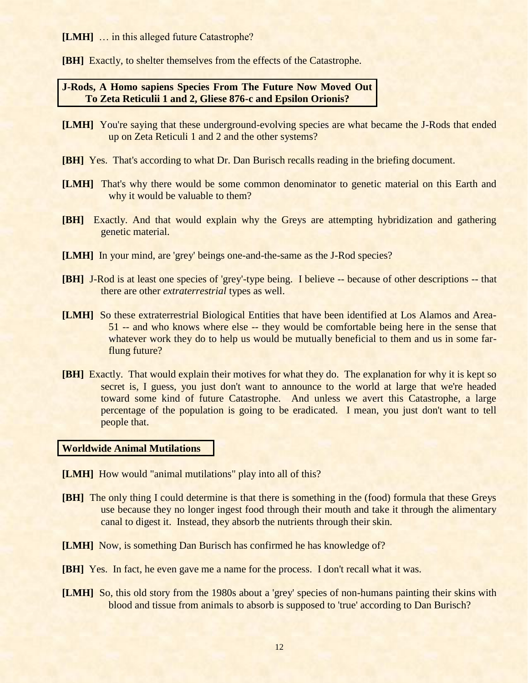**[LMH]** ... in this alleged future Catastrophe?

**[BH]** Exactly, to shelter themselves from the effects of the Catastrophe.

#### **J-Rods, A Homo sapiens Species From The Future Now Moved Out To Zeta Reticulii 1 and 2, Gliese 876-c and Epsilon Orionis?**

- **[LMH]** You're saying that these underground-evolving species are what became the J-Rods that ended up on Zeta Reticuli 1 and 2 and the other systems?
- **[BH]** Yes. That's according to what Dr. Dan Burisch recalls reading in the briefing document.
- **[LMH]** That's why there would be some common denominator to genetic material on this Earth and why it would be valuable to them?
- **[BH]** Exactly. And that would explain why the Greys are attempting hybridization and gathering genetic material.
- **[LMH]** In your mind, are 'grey' beings one-and-the-same as the J-Rod species?
- **[BH]** J-Rod is at least one species of 'grey'-type being. I believe -- because of other descriptions -- that there are other *extraterrestrial* types as well.
- **[LMH]** So these extraterrestrial Biological Entities that have been identified at Los Alamos and Area-51 -- and who knows where else -- they would be comfortable being here in the sense that whatever work they do to help us would be mutually beneficial to them and us in some farflung future?
- **[BH]** Exactly. That would explain their motives for what they do. The explanation for why it is kept so secret is, I guess, you just don't want to announce to the world at large that we're headed toward some kind of future Catastrophe. And unless we avert this Catastrophe, a large percentage of the population is going to be eradicated. I mean, you just don't want to tell people that.

#### **Worldwide Animal Mutilations**

- **[LMH]** How would "animal mutilations" play into all of this?
- **[BH]** The only thing I could determine is that there is something in the (food) formula that these Greys use because they no longer ingest food through their mouth and take it through the alimentary canal to digest it. Instead, they absorb the nutrients through their skin.
- **[LMH]** Now, is something Dan Burisch has confirmed he has knowledge of?
- **[BH]** Yes. In fact, he even gave me a name for the process. I don't recall what it was.
- **[LMH]** So, this old story from the 1980s about a 'grey' species of non-humans painting their skins with blood and tissue from animals to absorb is supposed to 'true' according to Dan Burisch?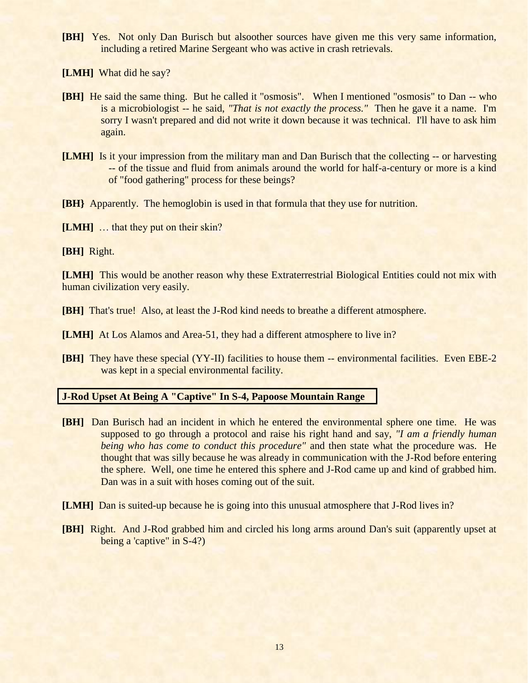**[BH]** Yes. Not only Dan Burisch but alsoother sources have given me this very same information, including a retired Marine Sergeant who was active in crash retrievals.

**[LMH]** What did he say?

- **[BH]** He said the same thing. But he called it "osmosis". When I mentioned "osmosis" to Dan -- who is a microbiologist -- he said, *"That is not exactly the process."* Then he gave it a name. I'm sorry I wasn't prepared and did not write it down because it was technical. I'll have to ask him again.
- **[LMH]** Is it your impression from the military man and Dan Burisch that the collecting -- or harvesting -- of the tissue and fluid from animals around the world for half-a-century or more is a kind of "food gathering" process for these beings?
- **[BH}** Apparently. The hemoglobin is used in that formula that they use for nutrition.
- **[LMH]** … that they put on their skin?

**[BH]** Right.

**[LMH]** This would be another reason why these Extraterrestrial Biological Entities could not mix with human civilization very easily.

**[BH]** That's true! Also, at least the J-Rod kind needs to breathe a different atmosphere.

**[LMH]** At Los Alamos and Area-51, they had a different atmosphere to live in?

**[BH]** They have these special (YY-II) facilities to house them -- environmental facilities. Even EBE-2 was kept in a special environmental facility.

### **J-Rod Upset At Being A "Captive" In S-4, Papoose Mountain Range**

- **[BH]** Dan Burisch had an incident in which he entered the environmental sphere one time. He was supposed to go through a protocol and raise his right hand and say, *"I am a friendly human being who has come to conduct this procedure"* and then state what the procedure was. He thought that was silly because he was already in communication with the J-Rod before entering the sphere. Well, one time he entered this sphere and J-Rod came up and kind of grabbed him. Dan was in a suit with hoses coming out of the suit.
- **[LMH]** Dan is suited-up because he is going into this unusual atmosphere that J-Rod lives in?
- **[BH]** Right. And J-Rod grabbed him and circled his long arms around Dan's suit (apparently upset at being a 'captive" in S-4?)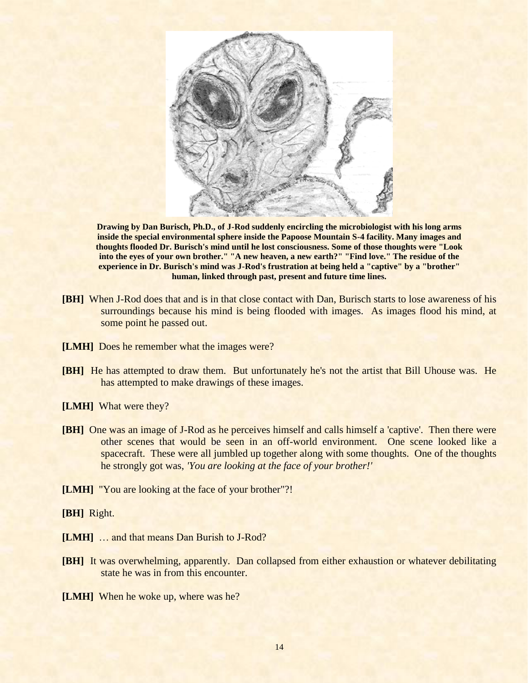

**Drawing by Dan Burisch, Ph.D., of J-Rod suddenly encircling the microbiologist with his long arms inside the special environmental sphere inside the Papoose Mountain S-4 facility. Many images and thoughts flooded Dr. Burisch's mind until he lost consciousness. Some of those thoughts were "Look into the eyes of your own brother." "A new heaven, a new earth?" "Find love." The residue of the experience in Dr. Burisch's mind was J-Rod's frustration at being held a "captive" by a "brother" human, linked through past, present and future time lines.**

- **[BH]** When J-Rod does that and is in that close contact with Dan, Burisch starts to lose awareness of his surroundings because his mind is being flooded with images. As images flood his mind, at some point he passed out.
- **[LMH]** Does he remember what the images were?
- **[BH]** He has attempted to draw them. But unfortunately he's not the artist that Bill Uhouse was. He has attempted to make drawings of these images.
- **[LMH]** What were they?
- **[BH]** One was an image of J-Rod as he perceives himself and calls himself a 'captive'. Then there were other scenes that would be seen in an off-world environment. One scene looked like a spacecraft. These were all jumbled up together along with some thoughts. One of the thoughts he strongly got was, *'You are looking at the face of your brother!'*
- **[LMH]** "You are looking at the face of your brother"?!

**[BH]** Right.

- **[LMH]** … and that means Dan Burish to J-Rod?
- **[BH]** It was overwhelming, apparently. Dan collapsed from either exhaustion or whatever debilitating state he was in from this encounter.
- **[LMH]** When he woke up, where was he?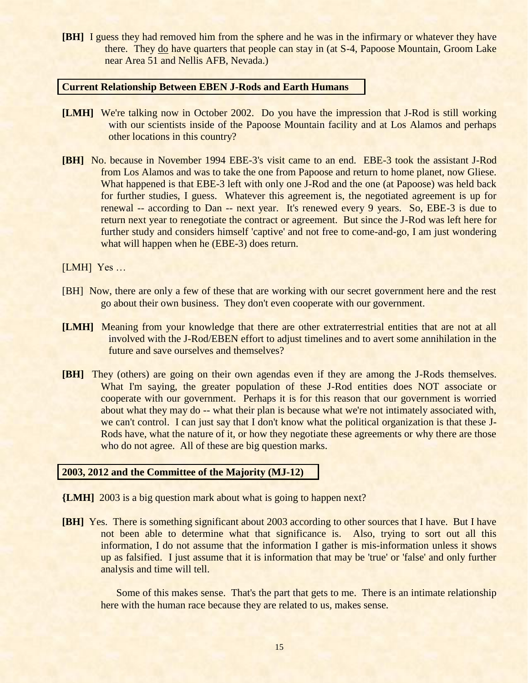**[BH]** I guess they had removed him from the sphere and he was in the infirmary or whatever they have there. They do have quarters that people can stay in (at S-4, Papoose Mountain, Groom Lake near Area 51 and Nellis AFB, Nevada.)

#### **Current Relationship Between EBEN J-Rods and Earth Humans**

- **[LMH]** We're talking now in October 2002. Do you have the impression that J-Rod is still working with our scientists inside of the Papoose Mountain facility and at Los Alamos and perhaps other locations in this country?
- **[BH]** No. because in November 1994 EBE-3's visit came to an end. EBE-3 took the assistant J-Rod from Los Alamos and was to take the one from Papoose and return to home planet, now Gliese. What happened is that EBE-3 left with only one J-Rod and the one (at Papoose) was held back for further studies, I guess. Whatever this agreement is, the negotiated agreement is up for renewal -- according to Dan -- next year. It's renewed every 9 years. So, EBE-3 is due to return next year to renegotiate the contract or agreement. But since the J-Rod was left here for further study and considers himself 'captive' and not free to come-and-go, I am just wondering what will happen when he (EBE-3) does return.

[LMH] Yes …

- [BH] Now, there are only a few of these that are working with our secret government here and the rest go about their own business. They don't even cooperate with our government.
- **[LMH]** Meaning from your knowledge that there are other extraterrestrial entities that are not at all involved with the J-Rod/EBEN effort to adjust timelines and to avert some annihilation in the future and save ourselves and themselves?
- **[BH]** They (others) are going on their own agendas even if they are among the J-Rods themselves. What I'm saying, the greater population of these J-Rod entities does NOT associate or cooperate with our government. Perhaps it is for this reason that our government is worried about what they may do -- what their plan is because what we're not intimately associated with, we can't control. I can just say that I don't know what the political organization is that these J-Rods have, what the nature of it, or how they negotiate these agreements or why there are those who do not agree. All of these are big question marks.

#### **2003, 2012 and the Committee of the Majority (MJ-12)**

**{LMH]** 2003 is a big question mark about what is going to happen next?

**[BH]** Yes. There is something significant about 2003 according to other sources that I have. But I have not been able to determine what that significance is. Also, trying to sort out all this information, I do not assume that the information I gather is mis-information unless it shows up as falsified. I just assume that it is information that may be 'true' or 'false' and only further analysis and time will tell.

Some of this makes sense. That's the part that gets to me. There is an intimate relationship here with the human race because they are related to us, makes sense.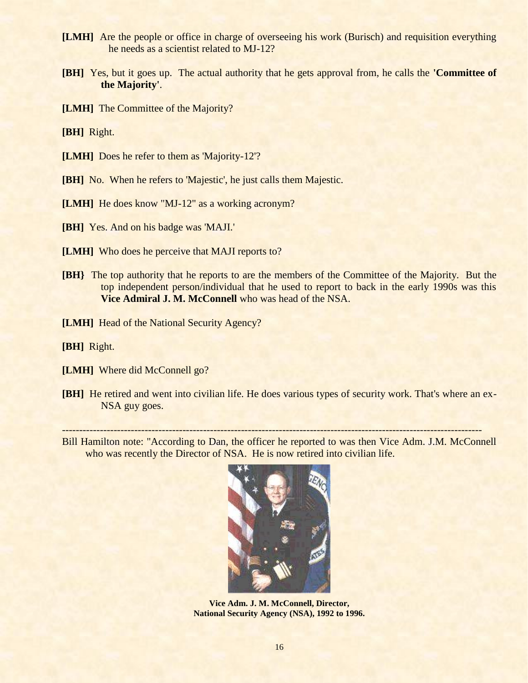- **[LMH]** Are the people or office in charge of overseeing his work (Burisch) and requisition everything he needs as a scientist related to MJ-12?
- **[BH]** Yes, but it goes up. The actual authority that he gets approval from, he calls the **'Committee of the Majority'**.
- **[LMH]** The Committee of the Majority?

**[BH]** Right.

- **[LMH]** Does he refer to them as 'Majority-12'?
- **[BH]** No. When he refers to 'Majestic', he just calls them Majestic.
- **[LMH]** He does know "MJ-12" as a working acronym?

**[BH]** Yes. And on his badge was 'MAJI.'

- **[LMH]** Who does he perceive that MAJI reports to?
- **[BH}** The top authority that he reports to are the members of the Committee of the Majority. But the top independent person/individual that he used to report to back in the early 1990s was this **Vice Admiral J. M. McConnell** who was head of the NSA.
- **[LMH]** Head of the National Security Agency?

**[BH]** Right.

- **[LMH]** Where did McConnell go?
- **[BH]** He retired and went into civilian life. He does various types of security work. That's where an ex-NSA guy goes.
- Bill Hamilton note: "According to Dan, the officer he reported to was then Vice Adm. J.M. McConnell who was recently the Director of NSA. He is now retired into civilian life.

--------------------------------------------------------------------------------------------------------------------------



**Vice Adm. J. M. McConnell, Director, National Security Agency (NSA), 1992 to 1996.**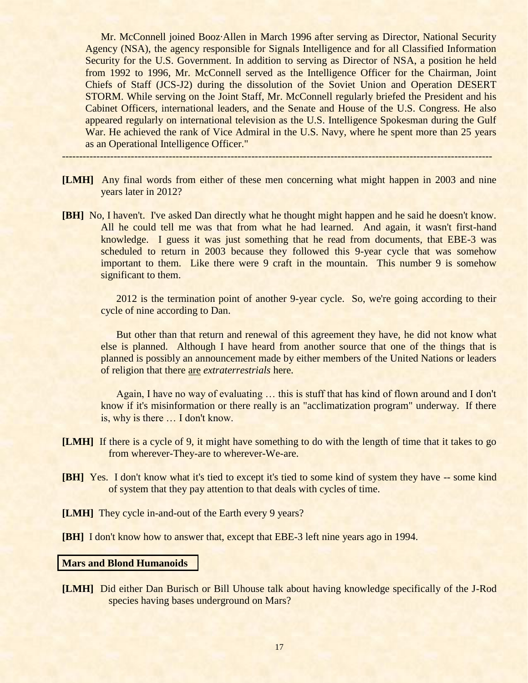Mr. McConnell joined Booz·Allen in March 1996 after serving as Director, National Security Agency (NSA), the agency responsible for Signals Intelligence and for all Classified Information Security for the U.S. Government. In addition to serving as Director of NSA, a position he held from 1992 to 1996, Mr. McConnell served as the Intelligence Officer for the Chairman, Joint Chiefs of Staff (JCS-J2) during the dissolution of the Soviet Union and Operation DESERT STORM. While serving on the Joint Staff, Mr. McConnell regularly briefed the President and his Cabinet Officers, international leaders, and the Senate and House of the U.S. Congress. He also appeared regularly on international television as the U.S. Intelligence Spokesman during the Gulf War. He achieved the rank of Vice Admiral in the U.S. Navy, where he spent more than 25 years as an Operational Intelligence Officer."

**[LMH]** Any final words from either of these men concerning what might happen in 2003 and nine years later in 2012?

-----------------------------------------------------------------------------------------------------------------------------

**[BH]** No, I haven't. I've asked Dan directly what he thought might happen and he said he doesn't know. All he could tell me was that from what he had learned. And again, it wasn't first-hand knowledge. I guess it was just something that he read from documents, that EBE-3 was scheduled to return in 2003 because they followed this 9-year cycle that was somehow important to them. Like there were 9 craft in the mountain. This number 9 is somehow significant to them.

2012 is the termination point of another 9-year cycle. So, we're going according to their cycle of nine according to Dan.

But other than that return and renewal of this agreement they have, he did not know what else is planned. Although I have heard from another source that one of the things that is planned is possibly an announcement made by either members of the United Nations or leaders of religion that there are *extraterrestrials* here.

Again, I have no way of evaluating … this is stuff that has kind of flown around and I don't know if it's misinformation or there really is an "acclimatization program" underway. If there is, why is there … I don't know.

- **[LMH]** If there is a cycle of 9, it might have something to do with the length of time that it takes to go from wherever-They-are to wherever-We-are.
- **[BH]** Yes. I don't know what it's tied to except it's tied to some kind of system they have -- some kind of system that they pay attention to that deals with cycles of time.
- **[LMH]** They cycle in-and-out of the Earth every 9 years?
- **[BH]** I don't know how to answer that, except that EBE-3 left nine years ago in 1994.

#### **Mars and Blond Humanoids**

**[LMH]** Did either Dan Burisch or Bill Uhouse talk about having knowledge specifically of the J-Rod species having bases underground on Mars?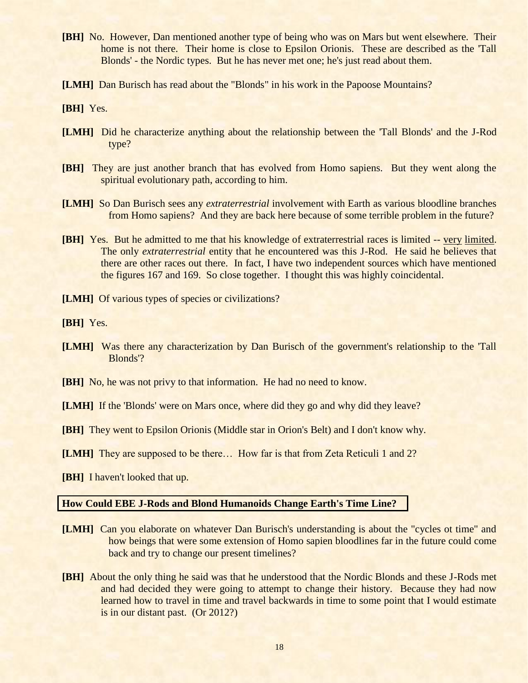- **[BH]** No. However, Dan mentioned another type of being who was on Mars but went elsewhere. Their home is not there. Their home is close to Epsilon Orionis. These are described as the 'Tall Blonds' - the Nordic types. But he has never met one; he's just read about them.
- **[LMH]** Dan Burisch has read about the "Blonds" in his work in the Papoose Mountains?

**[BH]** Yes.

- **[LMH]** Did he characterize anything about the relationship between the 'Tall Blonds' and the J-Rod type?
- **[BH]** They are just another branch that has evolved from Homo sapiens. But they went along the spiritual evolutionary path, according to him.
- **[LMH]** So Dan Burisch sees any *extraterrestrial* involvement with Earth as various bloodline branches from Homo sapiens? And they are back here because of some terrible problem in the future?
- **[BH]** Yes. But he admitted to me that his knowledge of extraterrestrial races is limited -- very limited. The only *extraterrestrial* entity that he encountered was this J-Rod. He said he believes that there are other races out there. In fact, I have two independent sources which have mentioned the figures 167 and 169. So close together. I thought this was highly coincidental.
- **[LMH]** Of various types of species or civilizations?
- **[BH]** Yes.
- **[LMH]** Was there any characterization by Dan Burisch of the government's relationship to the 'Tall Blonds'?
- **[BH]** No, he was not privy to that information. He had no need to know.
- **[LMH]** If the 'Blonds' were on Mars once, where did they go and why did they leave?

**[BH]** They went to Epsilon Orionis (Middle star in Orion's Belt) and I don't know why.

**[LMH]** They are supposed to be there... How far is that from Zeta Reticuli 1 and 2?

**[BH]** I haven't looked that up.

#### **How Could EBE J-Rods and Blond Humanoids Change Earth's Time Line?**

- **[LMH]** Can you elaborate on whatever Dan Burisch's understanding is about the "cycles ot time" and how beings that were some extension of Homo sapien bloodlines far in the future could come back and try to change our present timelines?
- **[BH]** About the only thing he said was that he understood that the Nordic Blonds and these J-Rods met and had decided they were going to attempt to change their history. Because they had now learned how to travel in time and travel backwards in time to some point that I would estimate is in our distant past. (Or 2012?)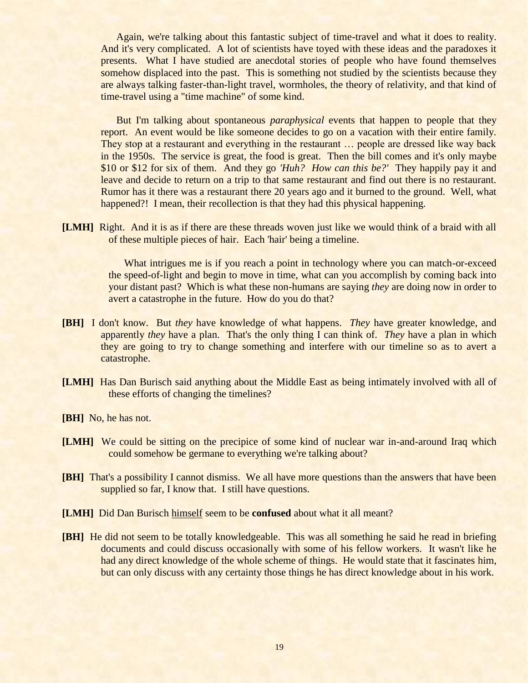Again, we're talking about this fantastic subject of time-travel and what it does to reality. And it's very complicated. A lot of scientists have toyed with these ideas and the paradoxes it presents. What I have studied are anecdotal stories of people who have found themselves somehow displaced into the past. This is something not studied by the scientists because they are always talking faster-than-light travel, wormholes, the theory of relativity, and that kind of time-travel using a "time machine" of some kind.

But I'm talking about spontaneous *paraphysical* events that happen to people that they report. An event would be like someone decides to go on a vacation with their entire family. They stop at a restaurant and everything in the restaurant ... people are dressed like way back in the 1950s. The service is great, the food is great. Then the bill comes and it's only maybe \$10 or \$12 for six of them. And they go *'Huh? How can this be?'* They happily pay it and leave and decide to return on a trip to that same restaurant and find out there is no restaurant. Rumor has it there was a restaurant there 20 years ago and it burned to the ground. Well, what happened?! I mean, their recollection is that they had this physical happening.

**[LMH]** Right. And it is as if there are these threads woven just like we would think of a braid with all of these multiple pieces of hair. Each 'hair' being a timeline.

> What intrigues me is if you reach a point in technology where you can match-or-exceed the speed-of-light and begin to move in time, what can you accomplish by coming back into your distant past? Which is what these non-humans are saying *they* are doing now in order to avert a catastrophe in the future. How do you do that?

- **[BH]** I don't know. But *they* have knowledge of what happens. *They* have greater knowledge, and apparently *they* have a plan. That's the only thing I can think of. *They* have a plan in which they are going to try to change something and interfere with our timeline so as to avert a catastrophe.
- **[LMH]** Has Dan Burisch said anything about the Middle East as being intimately involved with all of these efforts of changing the timelines?
- **[BH]** No, he has not.
- **[LMH]** We could be sitting on the precipice of some kind of nuclear war in-and-around Iraq which could somehow be germane to everything we're talking about?
- **[BH]** That's a possibility I cannot dismiss. We all have more questions than the answers that have been supplied so far, I know that. I still have questions.
- **[LMH]** Did Dan Burisch himself seem to be **confused** about what it all meant?
- **[BH]** He did not seem to be totally knowledgeable. This was all something he said he read in briefing documents and could discuss occasionally with some of his fellow workers. It wasn't like he had any direct knowledge of the whole scheme of things. He would state that it fascinates him, but can only discuss with any certainty those things he has direct knowledge about in his work.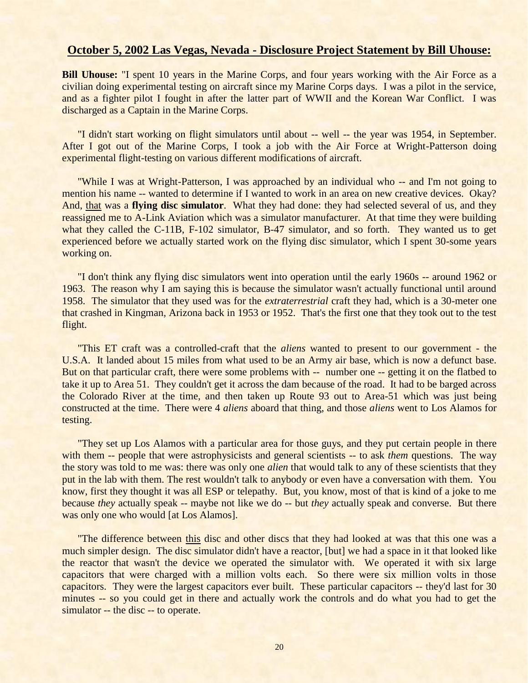#### **October 5, 2002 Las Vegas, Nevada - Disclosure Project Statement by Bill Uhouse:**

**Bill Uhouse:** "I spent 10 years in the Marine Corps, and four years working with the Air Force as a civilian doing experimental testing on aircraft since my Marine Corps days. I was a pilot in the service, and as a fighter pilot I fought in after the latter part of WWII and the Korean War Conflict. I was discharged as a Captain in the Marine Corps.

"I didn't start working on flight simulators until about -- well -- the year was 1954, in September. After I got out of the Marine Corps, I took a job with the Air Force at Wright-Patterson doing experimental flight-testing on various different modifications of aircraft.

"While I was at Wright-Patterson, I was approached by an individual who -- and I'm not going to mention his name -- wanted to determine if I wanted to work in an area on new creative devices. Okay? And, that was a **flying disc simulator**. What they had done: they had selected several of us, and they reassigned me to A-Link Aviation which was a simulator manufacturer. At that time they were building what they called the C-11B, F-102 simulator, B-47 simulator, and so forth. They wanted us to get experienced before we actually started work on the flying disc simulator, which I spent 30-some years working on.

"I don't think any flying disc simulators went into operation until the early 1960s -- around 1962 or 1963. The reason why I am saying this is because the simulator wasn't actually functional until around 1958. The simulator that they used was for the *extraterrestrial* craft they had, which is a 30-meter one that crashed in Kingman, Arizona back in 1953 or 1952. That's the first one that they took out to the test flight.

"This ET craft was a controlled-craft that the *aliens* wanted to present to our government - the U.S.A. It landed about 15 miles from what used to be an Army air base, which is now a defunct base. But on that particular craft, there were some problems with -- number one -- getting it on the flatbed to take it up to Area 51. They couldn't get it across the dam because of the road. It had to be barged across the Colorado River at the time, and then taken up Route 93 out to Area-51 which was just being constructed at the time. There were 4 *aliens* aboard that thing, and those *aliens* went to Los Alamos for testing.

"They set up Los Alamos with a particular area for those guys, and they put certain people in there with them -- people that were astrophysicists and general scientists -- to ask *them* questions. The way the story was told to me was: there was only one *alien* that would talk to any of these scientists that they put in the lab with them. The rest wouldn't talk to anybody or even have a conversation with them. You know, first they thought it was all ESP or telepathy. But, you know, most of that is kind of a joke to me because *they* actually speak -- maybe not like we do -- but *they* actually speak and converse. But there was only one who would [at Los Alamos].

"The difference between this disc and other discs that they had looked at was that this one was a much simpler design. The disc simulator didn't have a reactor, [but] we had a space in it that looked like the reactor that wasn't the device we operated the simulator with. We operated it with six large capacitors that were charged with a million volts each. So there were six million volts in those capacitors. They were the largest capacitors ever built. These particular capacitors -- they'd last for 30 minutes -- so you could get in there and actually work the controls and do what you had to get the simulator -- the disc -- to operate.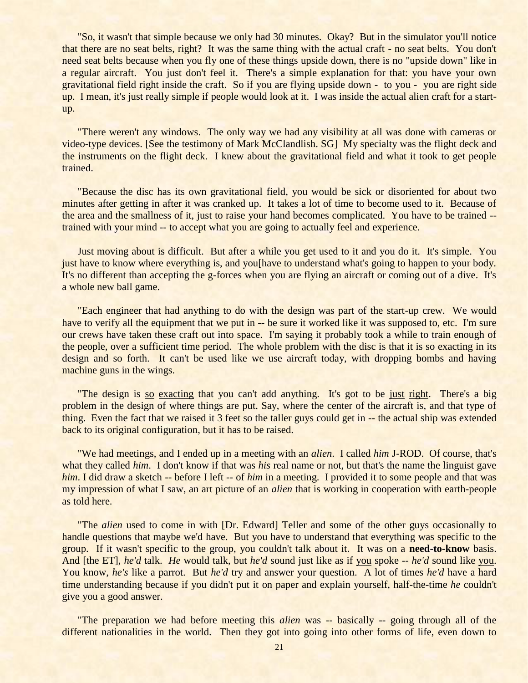"So, it wasn't that simple because we only had 30 minutes. Okay? But in the simulator you'll notice that there are no seat belts, right? It was the same thing with the actual craft - no seat belts. You don't need seat belts because when you fly one of these things upside down, there is no "upside down" like in a regular aircraft. You just don't feel it. There's a simple explanation for that: you have your own gravitational field right inside the craft. So if you are flying upside down - to you - you are right side up. I mean, it's just really simple if people would look at it. I was inside the actual alien craft for a startup.

"There weren't any windows. The only way we had any visibility at all was done with cameras or video-type devices. [See the testimony of Mark McClandlish. SG] My specialty was the flight deck and the instruments on the flight deck. I knew about the gravitational field and what it took to get people trained.

"Because the disc has its own gravitational field, you would be sick or disoriented for about two minutes after getting in after it was cranked up. It takes a lot of time to become used to it. Because of the area and the smallness of it, just to raise your hand becomes complicated. You have to be trained - trained with your mind -- to accept what you are going to actually feel and experience.

Just moving about is difficult. But after a while you get used to it and you do it. It's simple. You just have to know where everything is, and you[have to understand what's going to happen to your body. It's no different than accepting the g-forces when you are flying an aircraft or coming out of a dive. It's a whole new ball game.

"Each engineer that had anything to do with the design was part of the start-up crew. We would have to verify all the equipment that we put in -- be sure it worked like it was supposed to, etc. I'm sure our crews have taken these craft out into space. I'm saying it probably took a while to train enough of the people, over a sufficient time period. The whole problem with the disc is that it is so exacting in its design and so forth. It can't be used like we use aircraft today, with dropping bombs and having machine guns in the wings.

"The design is so exacting that you can't add anything. It's got to be just right. There's a big problem in the design of where things are put. Say, where the center of the aircraft is, and that type of thing. Even the fact that we raised it 3 feet so the taller guys could get in -- the actual ship was extended back to its original configuration, but it has to be raised.

"We had meetings, and I ended up in a meeting with an *alien*. I called *him* J-ROD. Of course, that's what they called *him*. I don't know if that was *his* real name or not, but that's the name the linguist gave *him*. I did draw a sketch -- before I left -- of *him* in a meeting. I provided it to some people and that was my impression of what I saw, an art picture of an *alien* that is working in cooperation with earth-people as told here.

"The *alien* used to come in with [Dr. Edward] Teller and some of the other guys occasionally to handle questions that maybe we'd have. But you have to understand that everything was specific to the group. If it wasn't specific to the group, you couldn't talk about it. It was on a **need-to-know** basis. And [the ET], *he'd* talk. *He* would talk, but *he'd* sound just like as if you spoke -- *he'd* sound like you. You know, *he's* like a parrot. But *he'd* try and answer your question. A lot of times *he'd* have a hard time understanding because if you didn't put it on paper and explain yourself, half-the-time *he* couldn't give you a good answer.

"The preparation we had before meeting this *alien* was -- basically -- going through all of the different nationalities in the world. Then they got into going into other forms of life, even down to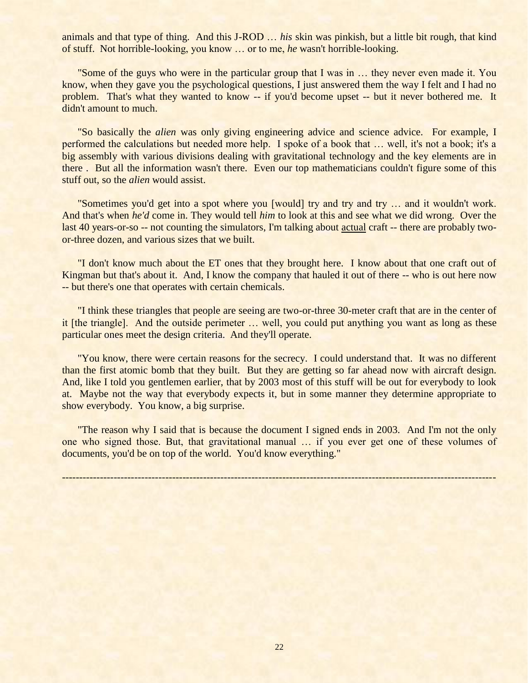animals and that type of thing. And this J-ROD … *his* skin was pinkish, but a little bit rough, that kind of stuff. Not horrible-looking, you know … or to me, *he* wasn't horrible-looking.

"Some of the guys who were in the particular group that I was in … they never even made it. You know, when they gave you the psychological questions, I just answered them the way I felt and I had no problem. That's what they wanted to know -- if you'd become upset -- but it never bothered me. It didn't amount to much.

"So basically the *alien* was only giving engineering advice and science advice. For example, I performed the calculations but needed more help. I spoke of a book that … well, it's not a book; it's a big assembly with various divisions dealing with gravitational technology and the key elements are in there . But all the information wasn't there. Even our top mathematicians couldn't figure some of this stuff out, so the *alien* would assist.

"Sometimes you'd get into a spot where you [would] try and try and try … and it wouldn't work. And that's when *he'd* come in. They would tell *him* to look at this and see what we did wrong. Over the last 40 years-or-so -- not counting the simulators, I'm talking about actual craft -- there are probably twoor-three dozen, and various sizes that we built.

"I don't know much about the ET ones that they brought here. I know about that one craft out of Kingman but that's about it. And, I know the company that hauled it out of there -- who is out here now -- but there's one that operates with certain chemicals.

"I think these triangles that people are seeing are two-or-three 30-meter craft that are in the center of it [the triangle]. And the outside perimeter … well, you could put anything you want as long as these particular ones meet the design criteria. And they'll operate.

"You know, there were certain reasons for the secrecy. I could understand that. It was no different than the first atomic bomb that they built. But they are getting so far ahead now with aircraft design. And, like I told you gentlemen earlier, that by 2003 most of this stuff will be out for everybody to look at. Maybe not the way that everybody expects it, but in some manner they determine appropriate to show everybody. You know, a big surprise.

"The reason why I said that is because the document I signed ends in 2003. And I'm not the only one who signed those. But, that gravitational manual … if you ever get one of these volumes of documents, you'd be on top of the world. You'd know everything."

------------------------------------------------------------------------------------------------------------------------------